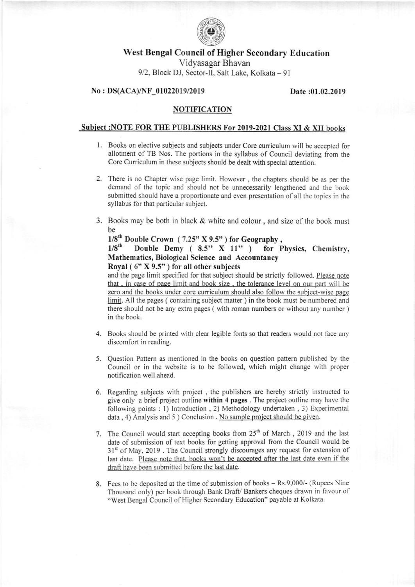

## West Bengal Council of Higher Secondary Education

Vidyasagar Bhavan 9/2, Block DJ, Sector-II, Salt Lake, Kolkata - 91

#### No : DS(ACA)/NF 01022019/2019 Date:01.02.2019

### NOTIFICATION

#### Subject :NOTE FOR THE PUBLISHERS For 2019-2021 Class XI & XII books

- l. Books on elective subjects and subjects under Core curriculum will be accepted for allotment of TB Nos. The portions in the syllabus of Council deviating from the Core Curriculum in these subjects should be dealt with special attention.
- 2. There is no Chapter wise page limit. However , the chapters should be as per the demand of the topic and should not be unnecessarily lengthened and the book submitted should have a proportionate and even presentation of all the topics in the syllabus for that particular subject.
- 3. Books may be both in black  $&$  white and colour, and size of the book must be

# $1/8^{th}$  Double Crown (7.25" X 9.5") for Geography,<br> $1/8^{th}$  Double Demy (8.5" X 11") for P

## Double Demy  $(8.5" X 11" )$  for Physics, Chemistry, Mathematics, Biological Science and Accountancy Royal ( 6" X 9.5" ) for all other subjects

and the page limit specified for that subject should be strictly followed. Please note that, in case of page limit and book size, the tolerance level on our part will be zero and the books under core cuniculum should also follow the subiect-wise page limit. All the pages (containing subject matter) in the book must be numbered and there should not be any extra pages (with roman numbers or without any number) in the book.

- 4. Books should be printed with clear legible fonts so that readers would not face any discomfort in reading.
- 5. Question Pattern as mentioned in the books on question pattern published by the Council or in the website is to be followed, which might change with proper notification well ahead.
- 6. Regarding subjects with project , the publishers are hereby strictly instructed to give only a brief project outline within 4 pages. The project outline may have the following points : 1) Introduction , 2) Methodology undertaken , 3) Experimental  $data, 4)$  Analysis and  $5$ ) Conclusion . No sample project should be given.
- last date. Please note that, books won't be accepted after the last date even if the draft have been submitted before the last date. 7. The Council would start accepting books from  $25<sup>th</sup>$  of March, 2019 and the last date of submission of text books for getting approval from the Council would be 31<sup>st</sup> of May, 2019. The Council strongly discourages any request for extension of
- 8. Fees to be deposited at the time of submission of books Rs.9,000/- (Rupees Nine Thousand only) per book through Bank Draft/ Bankers cheques drawn in favour of "West Bengal Council of Higher Secondary Education" payable at Kolkata.